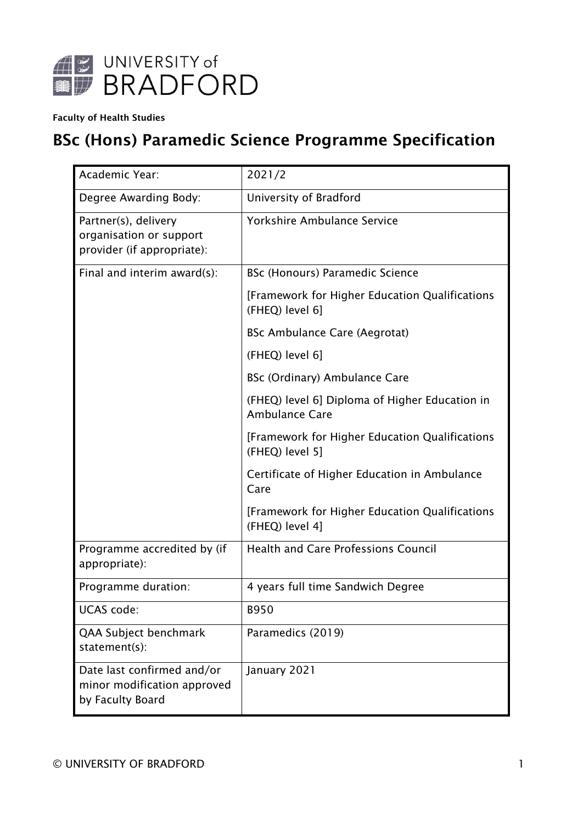

#### Faculty of Health Studies

# BSc (Hons) Paramedic Science Programme Specification

| Academic Year:                                                                | 2021/2                                                                  |
|-------------------------------------------------------------------------------|-------------------------------------------------------------------------|
| Degree Awarding Body:                                                         | University of Bradford                                                  |
| Partner(s), delivery<br>organisation or support<br>provider (if appropriate): | Yorkshire Ambulance Service                                             |
| Final and interim award(s):                                                   | <b>BSc (Honours) Paramedic Science</b>                                  |
|                                                                               | [Framework for Higher Education Qualifications<br>(FHEQ) level 6]       |
|                                                                               | <b>BSc Ambulance Care (Aegrotat)</b>                                    |
|                                                                               | (FHEQ) level 6]                                                         |
|                                                                               | BSc (Ordinary) Ambulance Care                                           |
|                                                                               | (FHEQ) level 6] Diploma of Higher Education in<br><b>Ambulance Care</b> |
|                                                                               | [Framework for Higher Education Qualifications<br>(FHEQ) level 5]       |
|                                                                               | Certificate of Higher Education in Ambulance<br>Care                    |
|                                                                               | [Framework for Higher Education Qualifications<br>(FHEQ) level 4]       |
| Programme accredited by (if<br>appropriate):                                  | <b>Health and Care Professions Council</b>                              |
| Programme duration:                                                           | 4 years full time Sandwich Degree                                       |
| <b>UCAS</b> code:                                                             | <b>B950</b>                                                             |
| QAA Subject benchmark<br>statement(s):                                        | Paramedics (2019)                                                       |
| Date last confirmed and/or<br>minor modification approved<br>by Faculty Board | January 2021                                                            |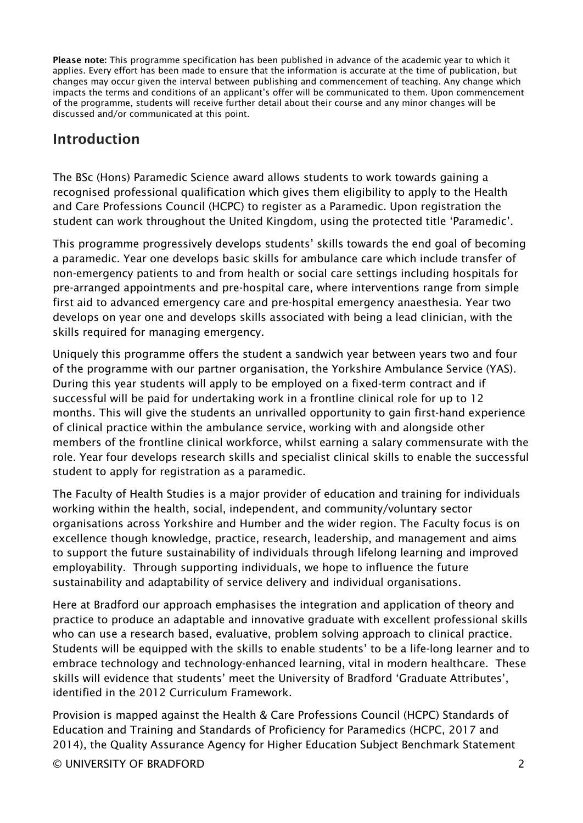Please note: This programme specification has been published in advance of the academic year to which it applies. Every effort has been made to ensure that the information is accurate at the time of publication, but changes may occur given the interval between publishing and commencement of teaching. Any change which impacts the terms and conditions of an applicant's offer will be communicated to them. Upon commencement of the programme, students will receive further detail about their course and any minor changes will be discussed and/or communicated at this point.

### Introduction

The BSc (Hons) Paramedic Science award allows students to work towards gaining a recognised professional qualification which gives them eligibility to apply to the Health and Care Professions Council (HCPC) to register as a Paramedic. Upon registration the student can work throughout the United Kingdom, using the protected title 'Paramedic'.

This programme progressively develops students' skills towards the end goal of becoming a paramedic. Year one develops basic skills for ambulance care which include transfer of non-emergency patients to and from health or social care settings including hospitals for pre-arranged appointments and pre-hospital care, where interventions range from simple first aid to advanced emergency care and pre-hospital emergency anaesthesia. Year two develops on year one and develops skills associated with being a lead clinician, with the skills required for managing emergency.

Uniquely this programme offers the student a sandwich year between years two and four of the programme with our partner organisation, the Yorkshire Ambulance Service (YAS). During this year students will apply to be employed on a fixed-term contract and if successful will be paid for undertaking work in a frontline clinical role for up to 12 months. This will give the students an unrivalled opportunity to gain first-hand experience of clinical practice within the ambulance service, working with and alongside other members of the frontline clinical workforce, whilst earning a salary commensurate with the role. Year four develops research skills and specialist clinical skills to enable the successful student to apply for registration as a paramedic.

The Faculty of Health Studies is a major provider of education and training for individuals working within the health, social, independent, and community/voluntary sector organisations across Yorkshire and Humber and the wider region. The Faculty focus is on excellence though knowledge, practice, research, leadership, and management and aims to support the future sustainability of individuals through lifelong learning and improved employability. Through supporting individuals, we hope to influence the future sustainability and adaptability of service delivery and individual organisations.

Here at Bradford our approach emphasises the integration and application of theory and practice to produce an adaptable and innovative graduate with excellent professional skills who can use a research based, evaluative, problem solving approach to clinical practice. Students will be equipped with the skills to enable students' to be a life-long learner and to embrace technology and technology-enhanced learning, vital in modern healthcare. These skills will evidence that students' meet the University of Bradford 'Graduate Attributes', identified in the 2012 Curriculum Framework.

© UNIVERSITY OF BRADFORD 2 Provision is mapped against the Health & Care Professions Council (HCPC) Standards of Education and Training and Standards of Proficiency for Paramedics (HCPC, 2017 and 2014), the Quality Assurance Agency for Higher Education Subject Benchmark Statement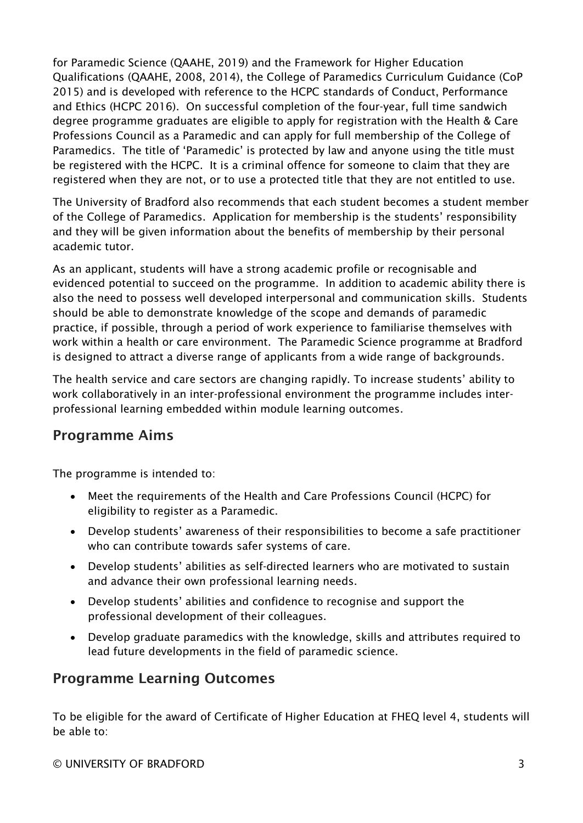for Paramedic Science (QAAHE, 2019) and the Framework for Higher Education Qualifications (QAAHE, 2008, 2014), the College of Paramedics Curriculum Guidance (CoP 2015) and is developed with reference to the HCPC standards of Conduct, Performance and Ethics (HCPC 2016). On successful completion of the four-year, full time sandwich degree programme graduates are eligible to apply for registration with the Health & Care Professions Council as a Paramedic and can apply for full membership of the College of Paramedics. The title of 'Paramedic' is protected by law and anyone using the title must be registered with the HCPC. It is a criminal offence for someone to claim that they are registered when they are not, or to use a protected title that they are not entitled to use.

The University of Bradford also recommends that each student becomes a student member of the College of Paramedics. Application for membership is the students' responsibility and they will be given information about the benefits of membership by their personal academic tutor.

As an applicant, students will have a strong academic profile or recognisable and evidenced potential to succeed on the programme. In addition to academic ability there is also the need to possess well developed interpersonal and communication skills. Students should be able to demonstrate knowledge of the scope and demands of paramedic practice, if possible, through a period of work experience to familiarise themselves with work within a health or care environment. The Paramedic Science programme at Bradford is designed to attract a diverse range of applicants from a wide range of backgrounds.

The health service and care sectors are changing rapidly. To increase students' ability to work collaboratively in an inter-professional environment the programme includes interprofessional learning embedded within module learning outcomes.

### Programme Aims

The programme is intended to:

- Meet the requirements of the Health and Care Professions Council (HCPC) for eligibility to register as a Paramedic.
- Develop students' awareness of their responsibilities to become a safe practitioner who can contribute towards safer systems of care.
- Develop students' abilities as self-directed learners who are motivated to sustain and advance their own professional learning needs.
- Develop students' abilities and confidence to recognise and support the professional development of their colleagues.
- Develop graduate paramedics with the knowledge, skills and attributes required to lead future developments in the field of paramedic science.

## Programme Learning Outcomes

To be eligible for the award of Certificate of Higher Education at FHEQ level 4, students will be able to: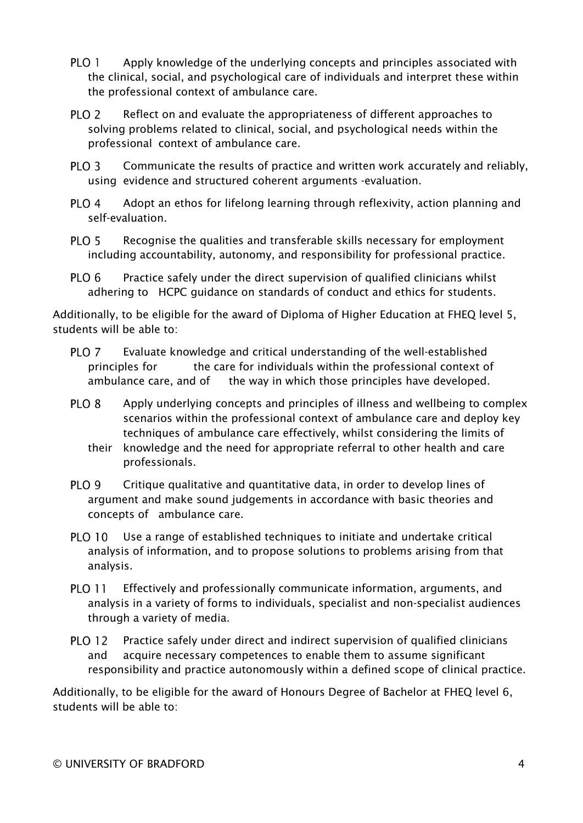- PLO<sub>1</sub> Apply knowledge of the underlying concepts and principles associated with the clinical, social, and psychological care of individuals and interpret these within the professional context of ambulance care.
- PLO<sub>2</sub> Reflect on and evaluate the appropriateness of different approaches to solving problems related to clinical, social, and psychological needs within the professional context of ambulance care.
- PLO<sub>3</sub> Communicate the results of practice and written work accurately and reliably, using evidence and structured coherent arguments -evaluation.
- PLO<sub>4</sub> Adopt an ethos for lifelong learning through reflexivity, action planning and self-evaluation.
- PLO<sub>5</sub> Recognise the qualities and transferable skills necessary for employment including accountability, autonomy, and responsibility for professional practice.
- PLO<sub>6</sub> Practice safely under the direct supervision of qualified clinicians whilst adhering to HCPC guidance on standards of conduct and ethics for students.

Additionally, to be eligible for the award of Diploma of Higher Education at FHEQ level 5, students will be able to:

- Evaluate knowledge and critical understanding of the well-established PLO<sub>7</sub> principles for the care for individuals within the professional context of ambulance care, and of the way in which those principles have developed.
- PLO<sub>8</sub> Apply underlying concepts and principles of illness and wellbeing to complex scenarios within the professional context of ambulance care and deploy key techniques of ambulance care effectively, whilst considering the limits of
	- their knowledge and the need for appropriate referral to other health and care professionals.
- PLO<sub>9</sub> Critique qualitative and quantitative data, in order to develop lines of argument and make sound judgements in accordance with basic theories and concepts of ambulance care.
- PLO 10 Use a range of established techniques to initiate and undertake critical analysis of information, and to propose solutions to problems arising from that analysis.
- **PLO 11** Effectively and professionally communicate information, arguments, and analysis in a variety of forms to individuals, specialist and non-specialist audiences through a variety of media.
- **PLO 12** Practice safely under direct and indirect supervision of qualified clinicians and acquire necessary competences to enable them to assume significant responsibility and practice autonomously within a defined scope of clinical practice.

Additionally, to be eligible for the award of Honours Degree of Bachelor at FHEQ level 6, students will be able to: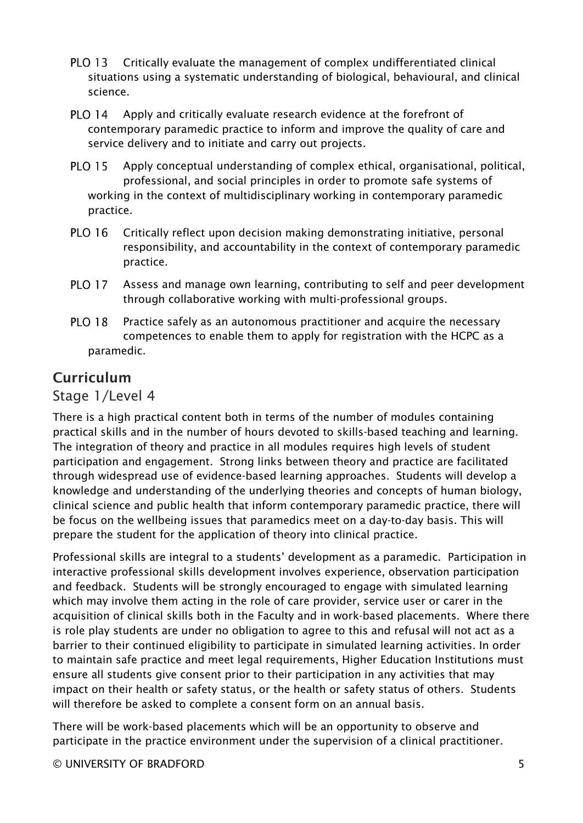- **PLO 13** Critically evaluate the management of complex undifferentiated clinical situations using a systematic understanding of biological, behavioural, and clinical science.
- **PLO 14** Apply and critically evaluate research evidence at the forefront of contemporary paramedic practice to inform and improve the quality of care and service delivery and to initiate and carry out projects.
- **PLO 15** Apply conceptual understanding of complex ethical, organisational, political, professional, and social principles in order to promote safe systems of working in the context of multidisciplinary working in contemporary paramedic practice.
- **PLO 16** Critically reflect upon decision making demonstrating initiative, personal responsibility, and accountability in the context of contemporary paramedic practice.
- Assess and manage own learning, contributing to self and peer development **PLO 17** through collaborative working with multi-professional groups.
- **PLO 18** Practice safely as an autonomous practitioner and acquire the necessary competences to enable them to apply for registration with the HCPC as a paramedic.

## Curriculum

#### Stage 1/Level 4

There is a high practical content both in terms of the number of modules containing practical skills and in the number of hours devoted to skills-based teaching and learning. The integration of theory and practice in all modules requires high levels of student participation and engagement. Strong links between theory and practice are facilitated through widespread use of evidence-based learning approaches. Students will develop a knowledge and understanding of the underlying theories and concepts of human biology, clinical science and public health that inform contemporary paramedic practice, there will be focus on the wellbeing issues that paramedics meet on a day-to-day basis. This will prepare the student for the application of theory into clinical practice.

Professional skills are integral to a students' development as a paramedic. Participation in interactive professional skills development involves experience, observation participation and feedback. Students will be strongly encouraged to engage with simulated learning which may involve them acting in the role of care provider, service user or carer in the acquisition of clinical skills both in the Faculty and in work-based placements. Where there is role play students are under no obligation to agree to this and refusal will not act as a barrier to their continued eligibility to participate in simulated learning activities. In order to maintain safe practice and meet legal requirements, Higher Education Institutions must ensure all students give consent prior to their participation in any activities that may impact on their health or safety status, or the health or safety status of others. Students will therefore be asked to complete a consent form on an annual basis.

There will be work-based placements which will be an opportunity to observe and participate in the practice environment under the supervision of a clinical practitioner.

© UNIVERSITY OF BRADFORD 5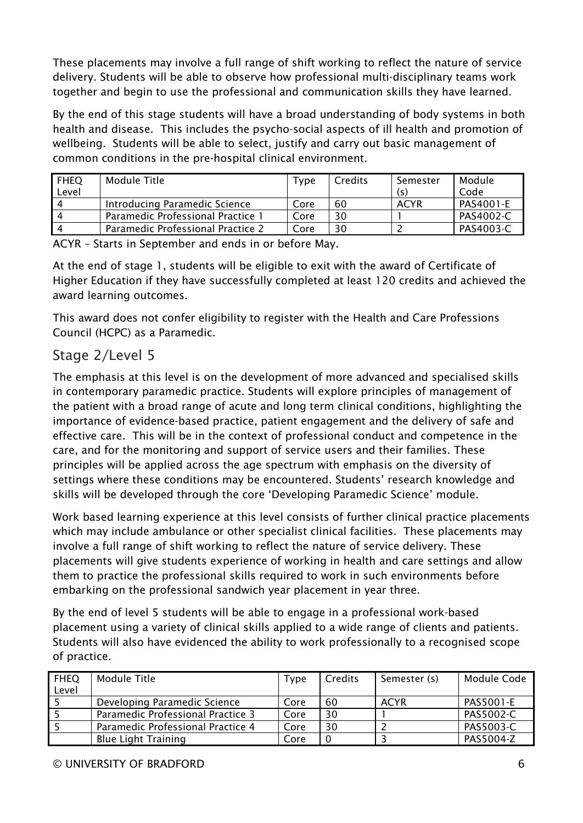These placements may involve a full range of shift working to reflect the nature of service delivery. Students will be able to observe how professional multi-disciplinary teams work together and begin to use the professional and communication skills they have learned.

By the end of this stage students will have a broad understanding of body systems in both health and disease. This includes the psycho-social aspects of ill health and promotion of wellbeing. Students will be able to select, justify and carry out basic management of common conditions in the pre-hospital clinical environment.

| <b>FHEQ</b><br>Level | Module Title                      | Type | Credits | Semester<br>(S) | Module<br>Code |
|----------------------|-----------------------------------|------|---------|-----------------|----------------|
| ∣ ⊿                  | Introducing Paramedic Science     | Core | 60      | <b>ACYR</b>     | PAS4001-E      |
| ┚                    | Paramedic Professional Practice 1 | Core | 30      |                 | PAS4002-C      |
| ┚                    | Paramedic Professional Practice 2 | Core | 30      |                 | PAS4003-C      |

ACYR – Starts in September and ends in or before May.

At the end of stage 1, students will be eligible to exit with the award of Certificate of Higher Education if they have successfully completed at least 120 credits and achieved the award learning outcomes.

This award does not confer eligibility to register with the Health and Care Professions Council (HCPC) as a Paramedic.

### Stage 2/Level 5

The emphasis at this level is on the development of more advanced and specialised skills in contemporary paramedic practice. Students will explore principles of management of the patient with a broad range of acute and long term clinical conditions, highlighting the importance of evidence-based practice, patient engagement and the delivery of safe and effective care. This will be in the context of professional conduct and competence in the care, and for the monitoring and support of service users and their families. These principles will be applied across the age spectrum with emphasis on the diversity of settings where these conditions may be encountered. Students' research knowledge and skills will be developed through the core 'Developing Paramedic Science' module.

Work based learning experience at this level consists of further clinical practice placements which may include ambulance or other specialist clinical facilities. These placements may involve a full range of shift working to reflect the nature of service delivery. These placements will give students experience of working in health and care settings and allow them to practice the professional skills required to work in such environments before embarking on the professional sandwich year placement in year three.

By the end of level 5 students will be able to engage in a professional work-based placement using a variety of clinical skills applied to a wide range of clients and patients. Students will also have evidenced the ability to work professionally to a recognised scope of practice.

| <b>FHEQ</b><br>Level | Module Title                      | Type | Credits | Semester (s) | Module Code      |
|----------------------|-----------------------------------|------|---------|--------------|------------------|
|                      | Developing Paramedic Science      | Core | 60      | <b>ACYR</b>  | <b>PAS5001-E</b> |
|                      | Paramedic Professional Practice 3 | Core | 30      |              | PAS5002-C        |
|                      | Paramedic Professional Practice 4 | Core | 30      |              | PAS5003-C        |
|                      | <b>Blue Light Training</b>        | Core |         |              | PAS5004-Z        |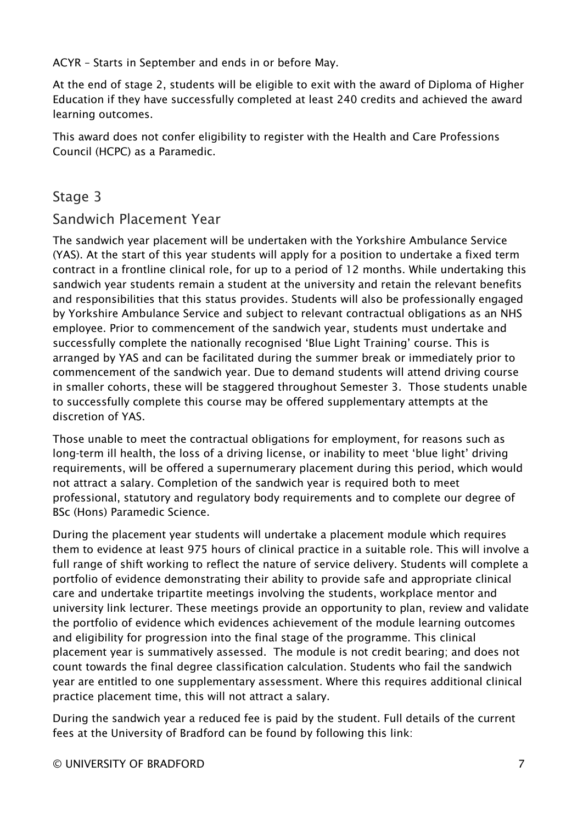ACYR – Starts in September and ends in or before May.

At the end of stage 2, students will be eligible to exit with the award of Diploma of Higher Education if they have successfully completed at least 240 credits and achieved the award learning outcomes.

This award does not confer eligibility to register with the Health and Care Professions Council (HCPC) as a Paramedic.

#### Stage 3

#### Sandwich Placement Year

The sandwich year placement will be undertaken with the Yorkshire Ambulance Service (YAS). At the start of this year students will apply for a position to undertake a fixed term contract in a frontline clinical role, for up to a period of 12 months. While undertaking this sandwich year students remain a student at the university and retain the relevant benefits and responsibilities that this status provides. Students will also be professionally engaged by Yorkshire Ambulance Service and subject to relevant contractual obligations as an NHS employee. Prior to commencement of the sandwich year, students must undertake and successfully complete the nationally recognised 'Blue Light Training' course. This is arranged by YAS and can be facilitated during the summer break or immediately prior to commencement of the sandwich year. Due to demand students will attend driving course in smaller cohorts, these will be staggered throughout Semester 3. Those students unable to successfully complete this course may be offered supplementary attempts at the discretion of YAS.

Those unable to meet the contractual obligations for employment, for reasons such as long-term ill health, the loss of a driving license, or inability to meet 'blue light' driving requirements, will be offered a supernumerary placement during this period, which would not attract a salary. Completion of the sandwich year is required both to meet professional, statutory and regulatory body requirements and to complete our degree of BSc (Hons) Paramedic Science.

During the placement year students will undertake a placement module which requires them to evidence at least 975 hours of clinical practice in a suitable role. This will involve a full range of shift working to reflect the nature of service delivery. Students will complete a portfolio of evidence demonstrating their ability to provide safe and appropriate clinical care and undertake tripartite meetings involving the students, workplace mentor and university link lecturer. These meetings provide an opportunity to plan, review and validate the portfolio of evidence which evidences achievement of the module learning outcomes and eligibility for progression into the final stage of the programme. This clinical placement year is summatively assessed. The module is not credit bearing; and does not count towards the final degree classification calculation. Students who fail the sandwich year are entitled to one supplementary assessment. Where this requires additional clinical practice placement time, this will not attract a salary.

During the sandwich year a reduced fee is paid by the student. Full details of the current fees at the University of Bradford can be found by following this link: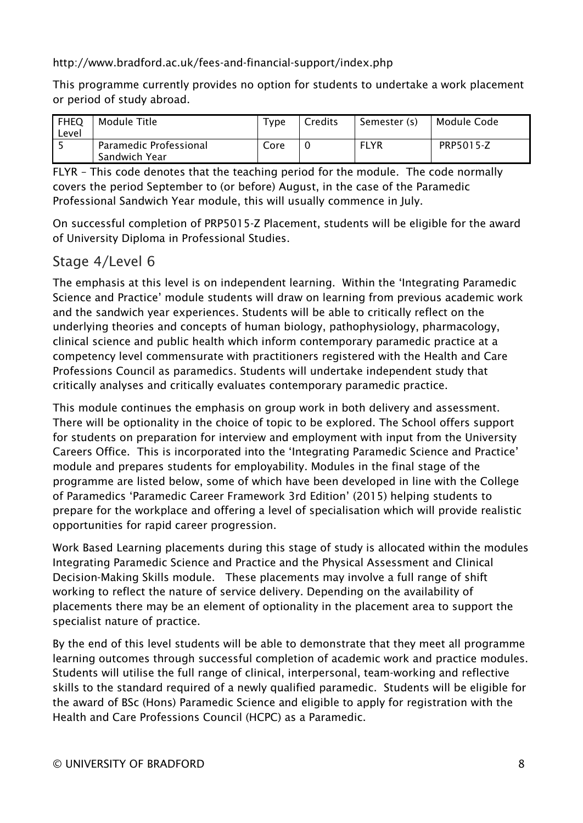<http://www.bradford.ac.uk/fees-and-financial-support/index.php>

This programme currently provides no option for students to undertake a work placement or period of study abroad.

| <b>FHEQ</b><br>Level | Module Title                            | $T$ ype | Credits | Semester (s) | Module Code |
|----------------------|-----------------------------------------|---------|---------|--------------|-------------|
|                      | Paramedic Professional<br>Sandwich Year | Core    |         | <b>FLYR</b>  | PRP5015-Z   |

FLYR – This code denotes that the teaching period for the module. The code normally covers the period September to (or before) August, in the case of the Paramedic Professional Sandwich Year module, this will usually commence in July.

On successful completion of PRP5015-Z Placement, students will be eligible for the award of University Diploma in Professional Studies.

#### Stage 4/Level 6

The emphasis at this level is on independent learning. Within the 'Integrating Paramedic Science and Practice' module students will draw on learning from previous academic work and the sandwich year experiences. Students will be able to critically reflect on the underlying theories and concepts of human biology, pathophysiology, pharmacology, clinical science and public health which inform contemporary paramedic practice at a competency level commensurate with practitioners registered with the Health and Care Professions Council as paramedics. Students will undertake independent study that critically analyses and critically evaluates contemporary paramedic practice.

This module continues the emphasis on group work in both delivery and assessment. There will be optionality in the choice of topic to be explored. The School offers support for students on preparation for interview and employment with input from the University Careers Office. This is incorporated into the 'Integrating Paramedic Science and Practice' module and prepares students for employability. Modules in the final stage of the programme are listed below, some of which have been developed in line with the College of Paramedics 'Paramedic Career Framework 3rd Edition' (2015) helping students to prepare for the workplace and offering a level of specialisation which will provide realistic opportunities for rapid career progression.

Work Based Learning placements during this stage of study is allocated within the modules Integrating Paramedic Science and Practice and the Physical Assessment and Clinical Decision-Making Skills module. These placements may involve a full range of shift working to reflect the nature of service delivery. Depending on the availability of placements there may be an element of optionality in the placement area to support the specialist nature of practice.

By the end of this level students will be able to demonstrate that they meet all programme learning outcomes through successful completion of academic work and practice modules. Students will utilise the full range of clinical, interpersonal, team-working and reflective skills to the standard required of a newly qualified paramedic. Students will be eligible for the award of BSc (Hons) Paramedic Science and eligible to apply for registration with the Health and Care Professions Council (HCPC) as a Paramedic.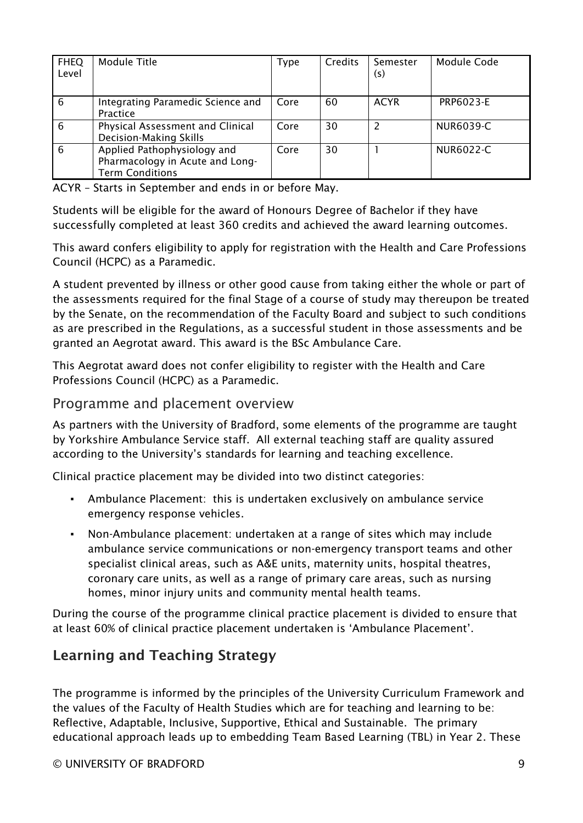| <b>FHEQ</b><br>Level | Module Title                                                                             | <b>Type</b> | <b>Credits</b> | Semester<br>(s) | Module Code |
|----------------------|------------------------------------------------------------------------------------------|-------------|----------------|-----------------|-------------|
| 6                    | Integrating Paramedic Science and<br>Practice                                            | Core        | 60             | <b>ACYR</b>     | PRP6023-E   |
| 6                    | Physical Assessment and Clinical<br>Decision-Making Skills                               | Core        | 30             |                 | NUR6039-C   |
| 6                    | Applied Pathophysiology and<br>Pharmacology in Acute and Long-<br><b>Term Conditions</b> | Core        | 30             |                 | NUR6022-C   |

ACYR – Starts in September and ends in or before May.

Students will be eligible for the award of Honours Degree of Bachelor if they have successfully completed at least 360 credits and achieved the award learning outcomes.

This award confers eligibility to apply for registration with the Health and Care Professions Council (HCPC) as a Paramedic.

A student prevented by illness or other good cause from taking either the whole or part of the assessments required for the final Stage of a course of study may thereupon be treated by the Senate, on the recommendation of the Faculty Board and subject to such conditions as are prescribed in the Regulations, as a successful student in those assessments and be granted an Aegrotat award. This award is the BSc Ambulance Care.

This Aegrotat award does not confer eligibility to register with the Health and Care Professions Council (HCPC) as a Paramedic.

#### Programme and placement overview

As partners with the University of Bradford, some elements of the programme are taught by Yorkshire Ambulance Service staff. All external teaching staff are quality assured according to the University's standards for learning and teaching excellence.

Clinical practice placement may be divided into two distinct categories:

- Ambulance Placement: this is undertaken exclusively on ambulance service emergency response vehicles.
- Non-Ambulance placement: undertaken at a range of sites which may include ambulance service communications or non-emergency transport teams and other specialist clinical areas, such as A&E units, maternity units, hospital theatres, coronary care units, as well as a range of primary care areas, such as nursing homes, minor injury units and community mental health teams.

During the course of the programme clinical practice placement is divided to ensure that at least 60% of clinical practice placement undertaken is 'Ambulance Placement'.

## Learning and Teaching Strategy

The programme is informed by the principles of the University Curriculum Framework and the values of the Faculty of Health Studies which are for teaching and learning to be: Reflective, Adaptable, Inclusive, Supportive, Ethical and Sustainable. The primary educational approach leads up to embedding Team Based Learning (TBL) in Year 2. These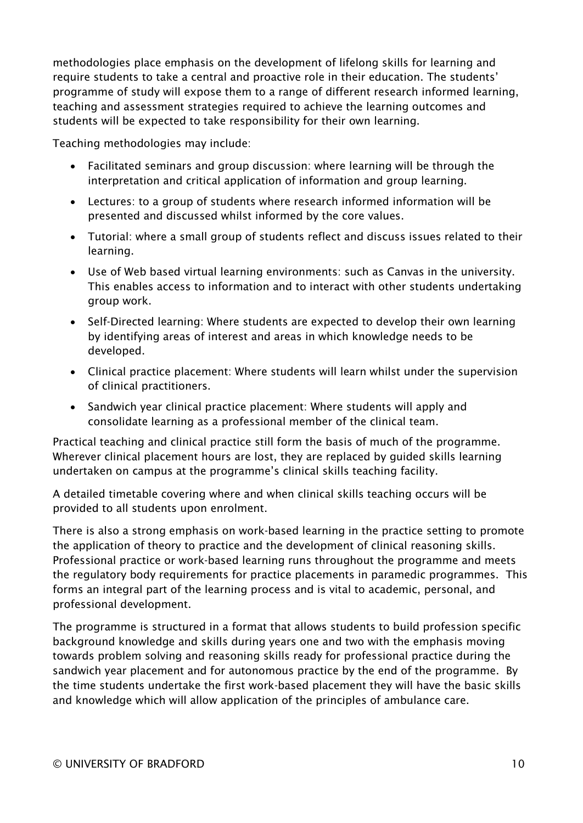methodologies place emphasis on the development of lifelong skills for learning and require students to take a central and proactive role in their education. The students' programme of study will expose them to a range of different research informed learning, teaching and assessment strategies required to achieve the learning outcomes and students will be expected to take responsibility for their own learning.

Teaching methodologies may include:

- Facilitated seminars and group discussion: where learning will be through the interpretation and critical application of information and group learning.
- Lectures: to a group of students where research informed information will be presented and discussed whilst informed by the core values.
- Tutorial: where a small group of students reflect and discuss issues related to their learning.
- Use of Web based virtual learning environments: such as Canvas in the university. This enables access to information and to interact with other students undertaking group work.
- Self-Directed learning: Where students are expected to develop their own learning by identifying areas of interest and areas in which knowledge needs to be developed.
- Clinical practice placement: Where students will learn whilst under the supervision of clinical practitioners.
- Sandwich year clinical practice placement: Where students will apply and consolidate learning as a professional member of the clinical team.

Practical teaching and clinical practice still form the basis of much of the programme. Wherever clinical placement hours are lost, they are replaced by guided skills learning undertaken on campus at the programme's clinical skills teaching facility.

A detailed timetable covering where and when clinical skills teaching occurs will be provided to all students upon enrolment.

There is also a strong emphasis on work-based learning in the practice setting to promote the application of theory to practice and the development of clinical reasoning skills. Professional practice or work-based learning runs throughout the programme and meets the regulatory body requirements for practice placements in paramedic programmes. This forms an integral part of the learning process and is vital to academic, personal, and professional development.

The programme is structured in a format that allows students to build profession specific background knowledge and skills during years one and two with the emphasis moving towards problem solving and reasoning skills ready for professional practice during the sandwich year placement and for autonomous practice by the end of the programme. By the time students undertake the first work-based placement they will have the basic skills and knowledge which will allow application of the principles of ambulance care.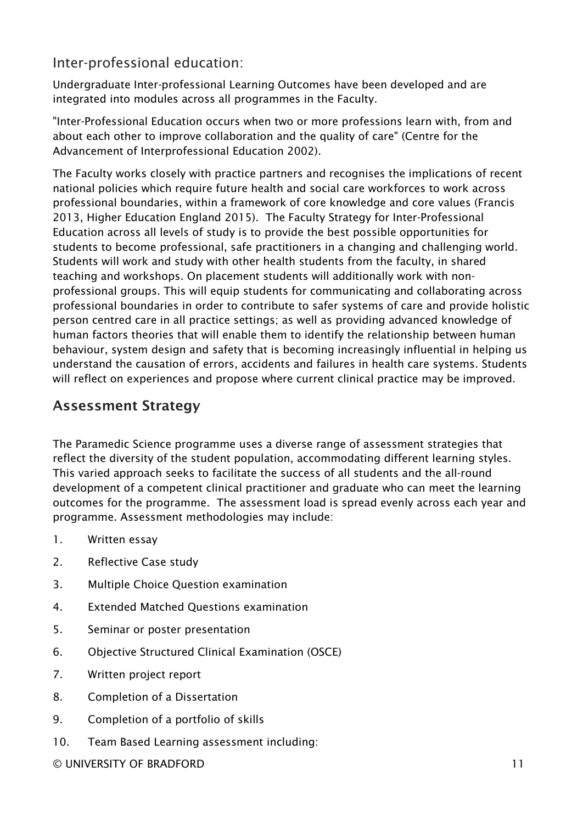### Inter-professional education:

Undergraduate Inter-professional Learning Outcomes have been developed and are integrated into modules across all programmes in the Faculty.

"Inter-Professional Education occurs when two or more professions learn with, from and about each other to improve collaboration and the quality of care" (Centre for the Advancement of Interprofessional Education 2002).

The Faculty works closely with practice partners and recognises the implications of recent national policies which require future health and social care workforces to work across professional boundaries, within a framework of core knowledge and core values (Francis 2013, Higher Education England 2015). The Faculty Strategy for Inter-Professional Education across all levels of study is to provide the best possible opportunities for students to become professional, safe practitioners in a changing and challenging world. Students will work and study with other health students from the faculty, in shared teaching and workshops. On placement students will additionally work with nonprofessional groups. This will equip students for communicating and collaborating across professional boundaries in order to contribute to safer systems of care and provide holistic person centred care in all practice settings; as well as providing advanced knowledge of human factors theories that will enable them to identify the relationship between human behaviour, system design and safety that is becoming increasingly influential in helping us understand the causation of errors, accidents and failures in health care systems. Students will reflect on experiences and propose where current clinical practice may be improved.

### Assessment Strategy

The Paramedic Science programme uses a diverse range of assessment strategies that reflect the diversity of the student population, accommodating different learning styles. This varied approach seeks to facilitate the success of all students and the all-round development of a competent clinical practitioner and graduate who can meet the learning outcomes for the programme. The assessment load is spread evenly across each year and programme. Assessment methodologies may include:

- 1. Written essay
- 2. Reflective Case study
- 3. Multiple Choice Question examination
- 4. Extended Matched Questions examination
- 5. Seminar or poster presentation
- 6. Objective Structured Clinical Examination (OSCE)
- 7. Written project report
- 8. Completion of a Dissertation
- 9. Completion of a portfolio of skills
- 10. Team Based Learning assessment including:

© UNIVERSITY OF BRADFORD 11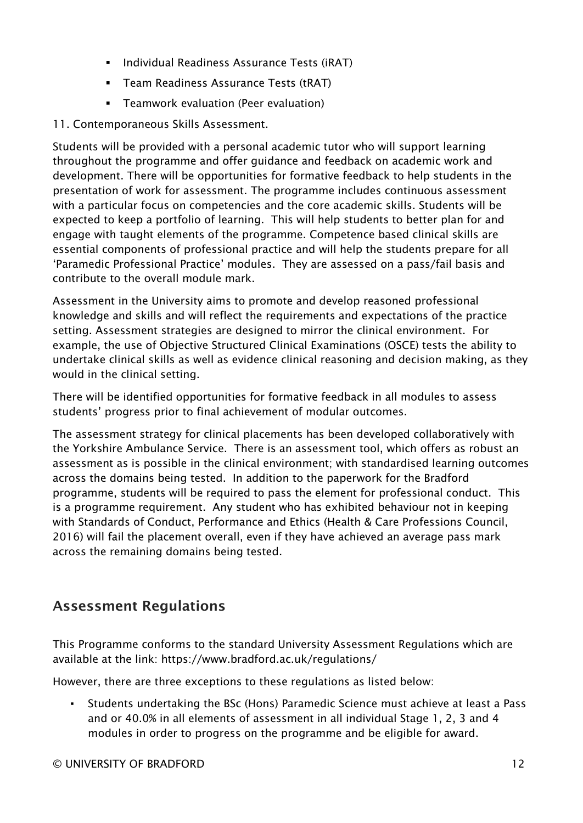- **Individual Readiness Assurance Tests (iRAT)**
- **Team Readiness Assurance Tests (tRAT)**
- Teamwork evaluation (Peer evaluation)
- 11. Contemporaneous Skills Assessment.

Students will be provided with a personal academic tutor who will support learning throughout the programme and offer guidance and feedback on academic work and development. There will be opportunities for formative feedback to help students in the presentation of work for assessment. The programme includes continuous assessment with a particular focus on competencies and the core academic skills. Students will be expected to keep a portfolio of learning. This will help students to better plan for and engage with taught elements of the programme. Competence based clinical skills are essential components of professional practice and will help the students prepare for all 'Paramedic Professional Practice' modules. They are assessed on a pass/fail basis and contribute to the overall module mark.

Assessment in the University aims to promote and develop reasoned professional knowledge and skills and will reflect the requirements and expectations of the practice setting. Assessment strategies are designed to mirror the clinical environment. For example, the use of Objective Structured Clinical Examinations (OSCE) tests the ability to undertake clinical skills as well as evidence clinical reasoning and decision making, as they would in the clinical setting.

There will be identified opportunities for formative feedback in all modules to assess students' progress prior to final achievement of modular outcomes.

The assessment strategy for clinical placements has been developed collaboratively with the Yorkshire Ambulance Service. There is an assessment tool, which offers as robust an assessment as is possible in the clinical environment; with standardised learning outcomes across the domains being tested. In addition to the paperwork for the Bradford programme, students will be required to pass the element for professional conduct. This is a programme requirement. Any student who has exhibited behaviour not in keeping with Standards of Conduct, Performance and Ethics (Health & Care Professions Council, 2016) will fail the placement overall, even if they have achieved an average pass mark across the remaining domains being tested.

## Assessment Regulations

This Programme conforms to the standard University Assessment Regulations which are available at the link: https://www.bradford.ac.uk/regulations/

However, there are three exceptions to these regulations as listed below:

▪ Students undertaking the BSc (Hons) Paramedic Science must achieve at least a Pass and or 40.0% in all elements of assessment in all individual Stage 1, 2, 3 and 4 modules in order to progress on the programme and be eligible for award.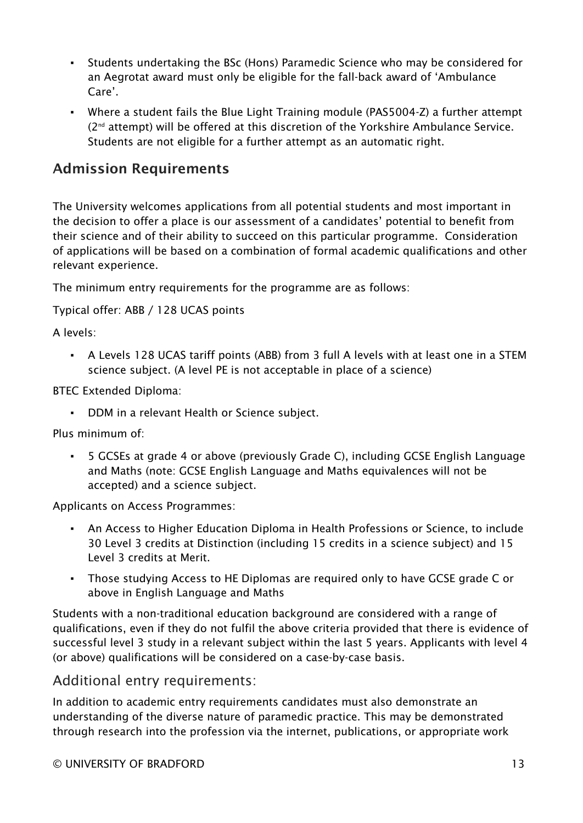- Students undertaking the BSc (Hons) Paramedic Science who may be considered for an Aegrotat award must only be eligible for the fall-back award of 'Ambulance Care'.
- Where a student fails the Blue Light Training module (PAS5004-Z) a further attempt (2nd attempt) will be offered at this discretion of the Yorkshire Ambulance Service. Students are not eligible for a further attempt as an automatic right.

#### Admission Requirements

The University welcomes applications from all potential students and most important in the decision to offer a place is our assessment of a candidates' potential to benefit from their science and of their ability to succeed on this particular programme. Consideration of applications will be based on a combination of formal academic qualifications and other relevant experience.

The minimum entry requirements for the programme are as follows:

Typical offer: ABB / 128 UCAS points

A levels:

▪ A Levels 128 UCAS tariff points (ABB) from 3 full A levels with at least one in a STEM science subject. (A level PE is not acceptable in place of a science)

BTEC Extended Diploma:

▪ DDM in a relevant Health or Science subject.

Plus minimum of:

▪ 5 GCSEs at grade 4 or above (previously Grade C), including GCSE English Language and Maths (note: GCSE English Language and Maths equivalences will not be accepted) and a science subject.

Applicants on Access Programmes:

- An Access to Higher Education Diploma in Health Professions or Science, to include 30 Level 3 credits at Distinction (including 15 credits in a science subject) and 15 Level 3 credits at Merit.
- Those studying Access to HE Diplomas are required only to have GCSE grade C or above in English Language and Maths

Students with a non-traditional education background are considered with a range of qualifications, even if they do not fulfil the above criteria provided that there is evidence of successful level 3 study in a relevant subject within the last 5 years. Applicants with level 4 (or above) qualifications will be considered on a case-by-case basis.

#### Additional entry requirements:

In addition to academic entry requirements candidates must also demonstrate an understanding of the diverse nature of paramedic practice. This may be demonstrated through research into the profession via the internet, publications, or appropriate work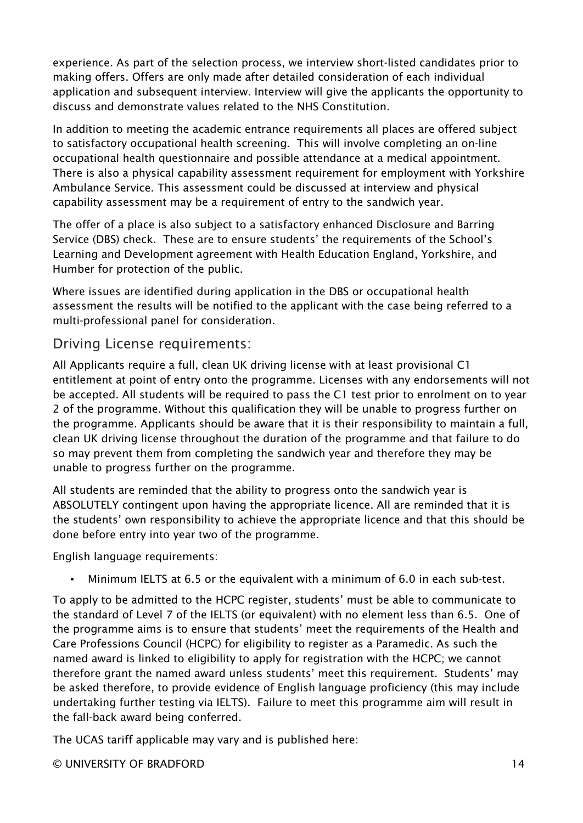experience. As part of the selection process, we interview short-listed candidates prior to making offers. Offers are only made after detailed consideration of each individual application and subsequent interview. Interview will give the applicants the opportunity to discuss and demonstrate values related to the NHS Constitution.

In addition to meeting the academic entrance requirements all places are offered subject to satisfactory occupational health screening. This will involve completing an on-line occupational health questionnaire and possible attendance at a medical appointment. There is also a physical capability assessment requirement for employment with Yorkshire Ambulance Service. This assessment could be discussed at interview and physical capability assessment may be a requirement of entry to the sandwich year.

The offer of a place is also subject to a satisfactory enhanced Disclosure and Barring Service (DBS) check. These are to ensure students' the requirements of the School's Learning and Development agreement with Health Education England, Yorkshire, and Humber for protection of the public.

Where issues are identified during application in the DBS or occupational health assessment the results will be notified to the applicant with the case being referred to a multi-professional panel for consideration.

#### Driving License requirements:

All Applicants require a full, clean UK driving license with at least provisional C1 entitlement at point of entry onto the programme. Licenses with any endorsements will not be accepted. All students will be required to pass the C1 test prior to enrolment on to year 2 of the programme. Without this qualification they will be unable to progress further on the programme. Applicants should be aware that it is their responsibility to maintain a full, clean UK driving license throughout the duration of the programme and that failure to do so may prevent them from completing the sandwich year and therefore they may be unable to progress further on the programme.

All students are reminded that the ability to progress onto the sandwich year is ABSOLUTELY contingent upon having the appropriate licence. All are reminded that it is the students' own responsibility to achieve the appropriate licence and that this should be done before entry into year two of the programme.

English language requirements:

▪ Minimum IELTS at 6.5 or the equivalent with a minimum of 6.0 in each sub-test.

To apply to be admitted to the HCPC register, students' must be able to communicate to the standard of Level 7 of the IELTS (or equivalent) with no element less than 6.5. One of the programme aims is to ensure that students' meet the requirements of the Health and Care Professions Council (HCPC) for eligibility to register as a Paramedic. As such the named award is linked to eligibility to apply for registration with the HCPC; we cannot therefore grant the named award unless students' meet this requirement. Students' may be asked therefore, to provide evidence of English language proficiency (this may include undertaking further testing via IELTS). Failure to meet this programme aim will result in the fall-back award being conferred.

The UCAS tariff applicable may vary and is published here:

© UNIVERSITY OF BRADFORD 14